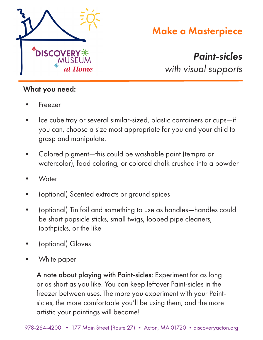

# Make a Masterpiece

*Paint-sicles with visual supports*

#### What you need:

- **Freezer**
- Ice cube tray or several similar-sized, plastic containers or cups—if you can, choose a size most appropriate for you and your child to grasp and manipulate.
- Colored pigment—this could be washable paint (tempra or watercolor), food coloring, or colored chalk crushed into a powder
- **Water**
- (optional) Scented extracts or ground spices
- (optional) Tin foil and something to use as handles—handles could be short popsicle sticks, small twigs, looped pipe cleaners, toothpicks, or the like
- (optional) Gloves
- White paper

A note about playing with Paint-sicles: Experiment for as long or as short as you like. You can keep leftover Paint-sicles in the freezer between uses. The more you experiment with your Paintsicles, the more comfortable you'll be using them, and the more artistic your paintings will become!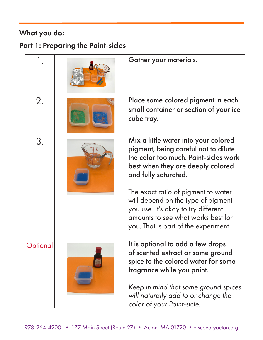# What you do:

### Part 1: Preparing the Paint-sicles

| 1.       | Gather your materials.                                                                                                                                                                                                                                   |
|----------|----------------------------------------------------------------------------------------------------------------------------------------------------------------------------------------------------------------------------------------------------------|
| 2.       | Place some colored pigment in each<br>small container or section of your ice<br>cube tray.                                                                                                                                                               |
| 3.       | Mix a little water into your colored<br>pigment, being careful not to dilute<br>the color too much. Paint-sicles work<br>best when they are deeply colored<br>and fully saturated.                                                                       |
|          | The exact ratio of pigment to water<br>will depend on the type of pigment<br>you use. It's okay to try different<br>amounts to see what works best for<br>you. That is part of the experiment!                                                           |
| Optional | It is optional to add a few drops<br>of scented extract or some ground<br>spice to the colored water for some<br>fragrance while you paint.<br>Keep in mind that some ground spices<br>will naturally add to or change the<br>color of your Paint-sicle. |